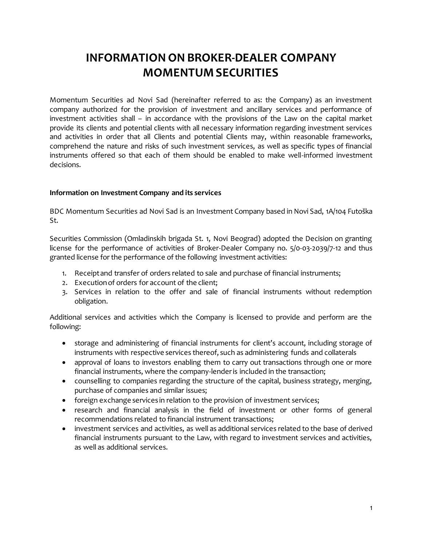# **INFORMATION ON BROKER-DEALER COMPANY MOMENTUM SECURITIES**

Momentum Securities ad Novi Sad (hereinafter referred to as: the Company) as an investment company authorized for the provision of investment and ancillary services and performance of investment activities shall – in accordance with the provisions of the Law on the capital market provide its clients and potential clients with all necessary information regarding investment services and activities in order that all Clients and potential Clients may, within reasonable frameworks, comprehend the nature and risks of such investment services, as well as specific types of financial instruments offered so that each of them should be enabled to make well-informed investment decisions.

#### **Information on Investment Company and its services**

BDC Momentum Securities ad Novi Sad is an Investment Company based in Novi Sad, 1A/104 Futoška St.

Securities Commission (Omladinskih brigada St. 1, Novi Beograd) adopted the Decision on granting license for the performance of activities of Broker-Dealer Company no. 5/0-03-2039/7-12 and thus granted license for the performance of the following investment activities:

- 1. Receipt and transfer of orders related to sale and purchase of financial instruments;
- 2. Execution of orders for account of the client;
- 3. Services in relation to the offer and sale of financial instruments without redemption obligation.

Additional services and activities which the Company is licensed to provide and perform are the following:

- storage and administering of financial instruments for client's account, including storage of instruments with respective services thereof, such as administering funds and collaterals
- approval of loans to investors enabling them to carry out transactions through one or more financial instruments, where the company-lender is included in the transaction;
- counselling to companies regarding the structure of the capital, business strategy, merging, purchase of companies and similar issues;
- foreign exchange services in relation to the provision of investment services;
- research and financial analysis in the field of investment or other forms of general recommendations related to financial instrument transactions;
- investment services and activities, as well as additional services related to the base of derived financial instruments pursuant to the Law, with regard to investment services and activities, as well as additional services.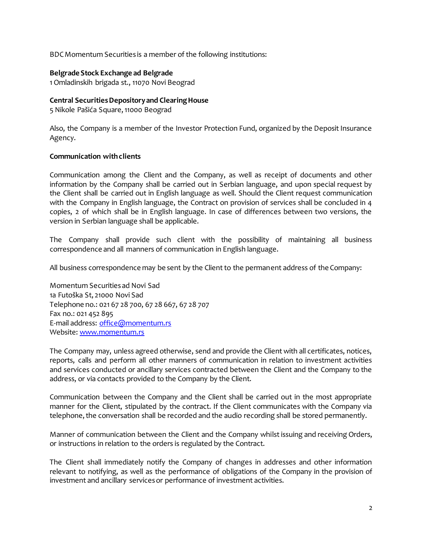BDC Momentum Securities is a member of the following institutions:

#### **Belgrade Stock Exchange ad Belgrade**

1 Omladinskih brigada st., 11070 Novi Beograd

#### **Central Securities Depository and Clearing House**

5 Nikole Pašića Square, 11000 Beograd

Also, the Company is a member of the Investor Protection Fund, organized by the Deposit Insurance Agency.

#### **Communication with clients**

Communication among the Client and the Company, as well as receipt of documents and other information by the Company shall be carried out in Serbian language, and upon special request by the Client shall be carried out in English language as well. Should the Client request communication with the Company in English language, the Contract on provision of services shall be concluded in 4 copies, 2 of which shall be in English language. In case of differences between two versions, the version in Serbian language shall be applicable.

The Company shall provide such client with the possibility of maintaining all business correspondence and all manners of communication in English language.

All business correspondence may be sent by the Client to the permanent address of the Company:

Momentum Securities ad Novi Sad 1a Futoška St, 21000 Novi Sad Telephone no.: 021 67 28 700, 67 28 667, 67 28 707 Fax no.: 021 452 895 E-mail address: [office@momentum.rs](mailto:office@momentum.rs) Website[: www.momentum.rs](http://www.momentum.rs/)

The Company may, unless agreed otherwise, send and provide the Client with all certificates, notices, reports, calls and perform all other manners of communication in relation to investment activities and services conducted or ancillary services contracted between the Client and the Company to the address, or via contacts provided to the Company by the Client.

Communication between the Company and the Client shall be carried out in the most appropriate manner for the Client, stipulated by the contract. If the Client communicates with the Company via telephone, the conversation shall be recorded and the audio recording shall be stored permanently.

Manner of communication between the Client and the Company whilst issuing and receiving Orders, or instructions in relation to the orders is regulated by the Contract.

The Client shall immediately notify the Company of changes in addresses and other information relevant to notifying, as well as the performance of obligations of the Company in the provision of investment and ancillary services or performance of investment activities.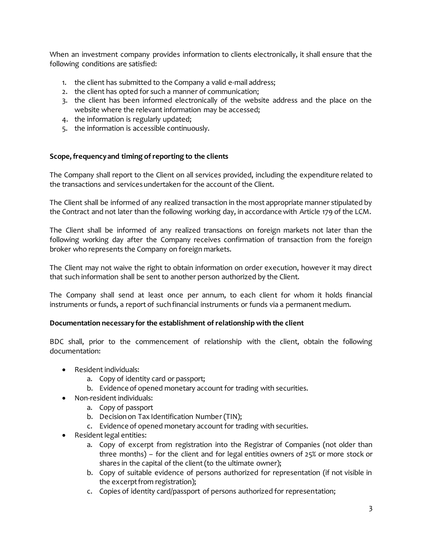When an investment company provides information to clients electronically, it shall ensure that the following conditions are satisfied:

- 1. the client has submitted to the Company a valid e-mail address;
- 2. the client has opted for such a manner of communication;
- 3. the client has been informed electronically of the website address and the place on the website where the relevant information may be accessed;
- 4. the information is regularly updated;
- 5. the information is accessible continuously.

#### **Scope, frequency and timing of reporting to the clients**

The Company shall report to the Client on all services provided, including the expenditure related to the transactions and services undertaken for the account of the Client.

The Client shall be informed of any realized transaction in the most appropriate manner stipulated by the Contract and not later than the following working day, in accordance with Article 179 of the LCM.

The Client shall be informed of any realized transactions on foreign markets not later than the following working day after the Company receives confirmation of transaction from the foreign broker who represents the Company on foreign markets.

The Client may not waive the right to obtain information on order execution, however it may direct that such information shall be sent to another person authorized by the Client.

The Company shall send at least once per annum, to each client for whom it holds financial instruments or funds, a report of such financial instruments or funds via a permanent medium.

#### **Documentation necessary for the establishment of relationship with the client**

BDC shall, prior to the commencement of relationship with the client, obtain the following documentation:

- Resident individuals:
	- a. Copy of identity card or passport;
	- b. Evidence of opened monetary account for trading with securities.
- Non-resident individuals:
	- a. Copy of passport
	- b. Decision on Tax Identification Number (TIN);
	- c. Evidence of opened monetary account for trading with securities.
- Resident legal entities:
	- a. Copy of excerpt from registration into the Registrar of Companies (not older than three months) – for the client and for legal entities owners of 25% or more stock or shares in the capital of the client (to the ultimate owner);
	- b. Copy of suitable evidence of persons authorized for representation (if not visible in the excerpt from registration);
	- c. Copies of identity card/passport of persons authorized for representation;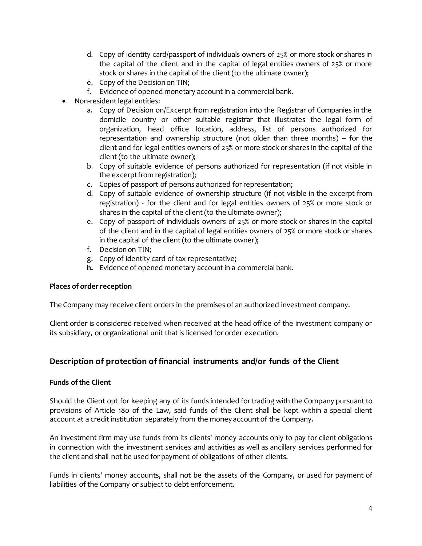- d. Copy of identity card/passport of individuals owners of 25% or more stock or shares in the capital of the client and in the capital of legal entities owners of 25% or more stock or shares in the capital of the client (to the ultimate owner);
- e. Copy of the Decision on TIN;
- f. Evidence of opened monetary account in a commercial bank.
- Non-resident legal entities:
	- a. Copy of Decision on/Excerpt from registration into the Registrar of Companies in the domicile country or other suitable registrar that illustrates the legal form of organization, head office location, address, list of persons authorized for representation and ownership structure (not older than three months) – for the client and for legal entities owners of 25% or more stock or shares in the capital of the client (to the ultimate owner);
	- b. Copy of suitable evidence of persons authorized for representation (if not visible in the excerpt from registration);
	- c. Copies of passport of persons authorized for representation;
	- d. Copy of suitable evidence of ownership structure (if not visible in the excerpt from registration) - for the client and for legal entities owners of 25% or more stock or shares in the capital of the client (to the ultimate owner);
	- e. Copy of passport of individuals owners of 25% or more stock or shares in the capital of the client and in the capital of legal entities owners of 25% or more stock or shares in the capital of the client (to the ultimate owner);
	- f. Decision on TIN;
	- g. Copy of identity card of tax representative;
	- **h.** Evidence of opened monetary account in a commercial bank.

# **Places of order reception**

The Company may receive client orders in the premises of an authorized investment company.

Client order is considered received when received at the head office of the investment company or its subsidiary, or organizational unit that is licensed for order execution.

# **Description of protection of financial instruments and/or funds of the Client**

# **Funds of the Client**

Should the Client opt for keeping any of its funds intended for trading with the Company pursuant to provisions of Article 180 of the Law, said funds of the Client shall be kept within a special client account at a credit institution separately from the money account of the Company.

An investment firm may use funds from its clients' money accounts only to pay for client obligations in connection with the investment services and activities as well as ancillary services performed for the client and shall not be used for payment of obligations of other clients.

Funds in clients' money accounts, shall not be the assets of the Company, or used for payment of liabilities of the Company or subject to debt enforcement.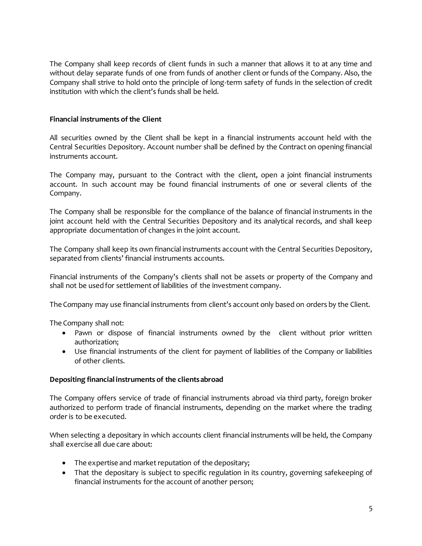The Company shall keep records of client funds in such a manner that allows it to at any time and without delay separate funds of one from funds of another client or funds of the Company. Also, the Company shall strive to hold onto the principle of long-term safety of funds in the selection of credit institution with which the client's funds shall be held.

# **Financial instruments of the Client**

All securities owned by the Client shall be kept in a financial instruments account held with the Central Securities Depository. Account number shall be defined by the Contract on opening financial instruments account.

The Company may, pursuant to the Contract with the client, open a joint financial instruments account. In such account may be found financial instruments of one or several clients of the Company.

The Company shall be responsible for the compliance of the balance of financial instruments in the joint account held with the Central Securities Depository and its analytical records, and shall keep appropriate documentation of changes in the joint account.

The Company shall keep its own financial instruments account with the Central Securities Depository, separated from clients' financial instruments accounts.

Financial instruments of the Company's clients shall not be assets or property of the Company and shall not be used for settlement of liabilities of the investment company.

The Company may use financial instruments from client's account only based on orders by the Client.

The Company shall not:

- Pawn or dispose of financial instruments owned by the client without prior written authorization;
- Use financial instruments of the client for payment of liabilities of the Company or liabilities of other clients.

# **Depositing financial instruments of the clients abroad**

The Company offers service of trade of financial instruments abroad via third party, foreign broker authorized to perform trade of financial instruments, depending on the market where the trading order is to be executed.

When selecting a depositary in which accounts client financial instruments will be held, the Company shall exercise all due care about:

- The expertise and market reputation of the depositary;
- That the depositary is subject to specific regulation in its country, governing safekeeping of financial instruments for the account of another person;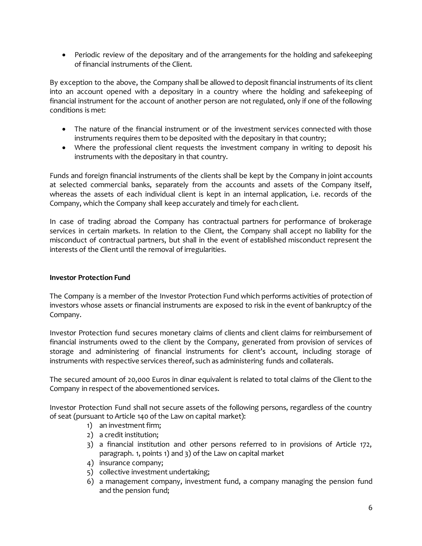• Periodic review of the depositary and of the arrangements for the holding and safekeeping of financial instruments of the Client.

By exception to the above, the Company shall be allowed to deposit financial instruments of its client into an account opened with a depositary in a country where the holding and safekeeping of financial instrument for the account of another person are not regulated, only if one of the following conditions is met:

- The nature of the financial instrument or of the investment services connected with those instruments requires them to be deposited with the depositary in that country;
- Where the professional client requests the investment company in writing to deposit his instruments with the depositary in that country.

Funds and foreign financial instruments of the clients shall be kept by the Company in joint accounts at selected commercial banks, separately from the accounts and assets of the Company itself, whereas the assets of each individual client is kept in an internal application, i.e. records of the Company, which the Company shall keep accurately and timely for each client.

In case of trading abroad the Company has contractual partners for performance of brokerage services in certain markets. In relation to the Client, the Company shall accept no liability for the misconduct of contractual partners, but shall in the event of established misconduct represent the interests of the Client until the removal of irregularities.

# **Investor Protection Fund**

The Company is a member of the Investor Protection Fund which performs activities of protection of investors whose assets or financial instruments are exposed to risk in the event of bankruptcy of the Company.

Investor Protection fund secures monetary claims of clients and client claims for reimbursement of financial instruments owed to the client by the Company, generated from provision of services of storage and administering of financial instruments for client's account, including storage of instruments with respective services thereof, such as administering funds and collaterals.

The secured amount of 20,000 Euros in dinar equivalent is related to total claims of the Client to the Company in respect of the abovementioned services.

Investor Protection Fund shall not secure assets of the following persons, regardless of the country of seat (pursuant to Article 140 of the Law on capital market):

- 1) an investment firm;
- 2) a credit institution;
- 3) a financial institution and other persons referred to in provisions of Article 172, paragraph. 1, points 1) and 3) of the Law on capital market
- 4) insurance company;
- 5) collective investment undertaking;
- 6) a management company, investment fund, a company managing the pension fund and the pension fund;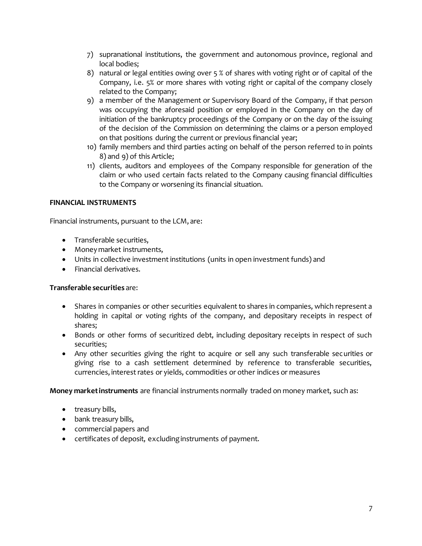- 7) supranational institutions, the government and autonomous province, regional and local bodies;
- 8) natural or legal entities owing over 5 % of shares with voting right or of capital of the Company, i.e. 5% or more shares with voting right or capital of the company closely related to the Company;
- 9) a member of the Management or Supervisory Board of the Company, if that person was occupying the aforesaid position or employed in the Company on the day of initiation of the bankruptcy proceedings of the Company or on the day of the issuing of the decision of the Commission on determining the claims or a person employed on that positions during the current or previous financial year;
- 10) family members and third parties acting on behalf of the person referred to in points 8) and 9) of this Article;
- 11) clients, auditors and employees of the Company responsible for generation of the claim or who used certain facts related to the Company causing financial difficulties to the Company or worsening its financial situation.

# **FINANCIAL INSTRUMENTS**

Financial instruments, pursuant to the LCM, are:

- Transferable securities,
- Money market instruments,
- Units in collective investment institutions (units in open investment funds) and
- Financial derivatives.

# **Transferable securities** are:

- Shares in companies or other securities equivalent to shares in companies, which represent a holding in capital or voting rights of the company, and depositary receipts in respect of shares;
- Bonds or other forms of securitized debt, including depositary receipts in respect of such securities;
- Any other securities giving the right to acquire or sell any such transferable securities or giving rise to a cash settlement determined by reference to transferable securities, currencies, interest rates or yields, commodities or other indices or measures

**Money market instruments** are financial instruments normally traded on money market, such as:

- treasury bills,
- bank treasury bills,
- commercial papers and
- certificates of deposit, excluding instruments of payment.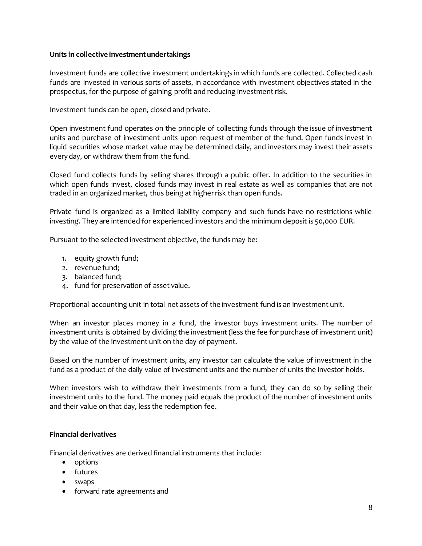#### **Units in collective investment undertakings**

Investment funds are collective investment undertakings in which funds are collected. Collected cash funds are invested in various sorts of assets, in accordance with investment objectives stated in the prospectus, for the purpose of gaining profit and reducing investment risk.

Investment funds can be open, closed and private.

Open investment fund operates on the principle of collecting funds through the issue of investment units and purchase of investment units upon request of member of the fund. Open funds invest in liquid securities whose market value may be determined daily, and investors may invest their assets every day, or withdraw them from the fund.

Closed fund collects funds by selling shares through a public offer. In addition to the securities in which open funds invest, closed funds may invest in real estate as well as companies that are not traded in an organized market, thus being at higher risk than open funds.

Private fund is organized as a limited liability company and such funds have no restrictions while investing. They are intended for experienced investors and the minimum deposit is 50,000 EUR.

Pursuant to the selected investment objective, the funds may be:

- 1. equity growth fund;
- 2. revenue fund;
- 3. balanced fund;
- 4. fund for preservation of asset value.

Proportional accounting unit in total net assets of the investment fund is an investment unit.

When an investor places money in a fund, the investor buys investment units. The number of investment units is obtained by dividing the investment (less the fee for purchase of investment unit) by the value of the investment unit on the day of payment.

Based on the number of investment units, any investor can calculate the value of investment in the fund as a product of the daily value of investment units and the number of units the investor holds.

When investors wish to withdraw their investments from a fund, they can do so by selling their investment units to the fund. The money paid equals the product of the number of investment units and their value on that day, less the redemption fee.

#### **Financial derivatives**

Financial derivatives are derived financial instruments that include:

- options
- futures
- swaps
- forward rate agreements and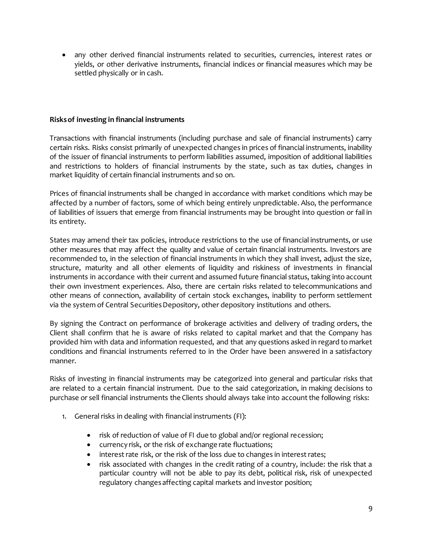• any other derived financial instruments related to securities, currencies, interest rates or yields, or other derivative instruments, financial indices or financial measures which may be settled physically or in cash.

#### **Risks of investing in financial instruments**

Transactions with financial instruments (including purchase and sale of financial instruments) carry certain risks. Risks consist primarily of unexpected changes in prices of financial instruments, inability of the issuer of financial instruments to perform liabilities assumed, imposition of additional liabilities and restrictions to holders of financial instruments by the state, such as tax duties, changes in market liquidity of certain financial instruments and so on.

Prices of financial instruments shall be changed in accordance with market conditions which may be affected by a number of factors, some of which being entirely unpredictable. Also, the performance of liabilities of issuers that emerge from financial instruments may be brought into question or fail in its entirety.

States may amend their tax policies, introduce restrictions to the use of financial instruments, or use other measures that may affect the quality and value of certain financial instruments. Investors are recommended to, in the selection of financial instruments in which they shall invest, adjust the size, structure, maturity and all other elements of liquidity and riskiness of investments in financial instruments in accordance with their current and assumed future financial status, taking into account their own investment experiences. Also, there are certain risks related to telecommunications and other means of connection, availability of certain stock exchanges, inability to perform settlement via the system of Central Securities Depository, other depository institutions and others.

By signing the Contract on performance of brokerage activities and delivery of trading orders, the Client shall confirm that he is aware of risks related to capital market and that the Company has provided him with data and information requested, and that any questions asked in regard to market conditions and financial instruments referred to in the Order have been answered in a satisfactory manner.

Risks of investing in financial instruments may be categorized into general and particular risks that are related to a certain financial instrument. Due to the said categorization, in making decisions to purchase or sell financial instruments the Clients should always take into account the following risks:

- 1. General risks in dealing with financial instruments (FI):
	- risk of reduction of value of FI due to global and/or regional recession;
	- currency risk, or the risk of exchange rate fluctuations;
	- interest rate risk, or the risk of the loss due to changes in interest rates;
	- risk associated with changes in the credit rating of a country, include: the risk that a particular country will not be able to pay its debt, political risk, risk of unexpected regulatory changes affecting capital markets and investor position;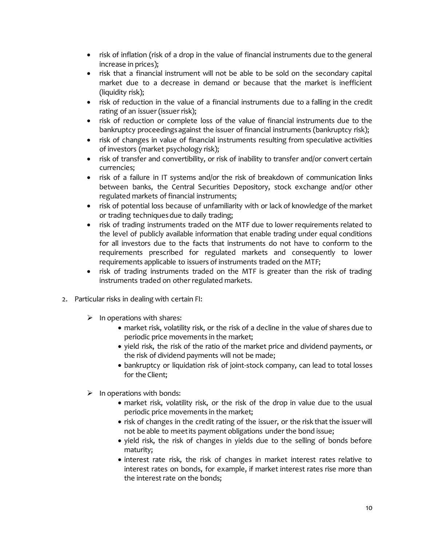- risk of inflation (risk of a drop in the value of financial instruments due to the general increase in prices);
- risk that a financial instrument will not be able to be sold on the secondary capital market due to a decrease in demand or because that the market is inefficient (liquidity risk);
- risk of reduction in the value of a financial instruments due to a falling in the credit rating of an issuer (issuer risk);
- risk of reduction or complete loss of the value of financial instruments due to the bankruptcy proceedings against the issuer of financial instruments (bankruptcy risk);
- risk of changes in value of financial instruments resulting from speculative activities of investors (market psychology risk);
- risk of transfer and convertibility, or risk of inability to transfer and/or convert certain currencies;
- risk of a failure in IT systems and/or the risk of breakdown of communication links between banks, the Central Securities Depository, stock exchange and/or other regulated markets of financial instruments;
- risk of potential loss because of unfamiliarity with or lack of knowledge of the market or trading techniques due to daily trading;
- risk of trading instruments traded on the MTF due to lower requirements related to the level of publicly available information that enable trading under equal conditions for all investors due to the facts that instruments do not have to conform to the requirements prescribed for regulated markets and consequently to lower requirements applicable to issuers of instruments traded on the MTF;
- risk of trading instruments traded on the MTF is greater than the risk of trading instruments traded on other regulated markets.
- 2. Particular risks in dealing with certain FI:
	- $\triangleright$  In operations with shares:
		- market risk, volatility risk, or the risk of a decline in the value of shares due to periodic price movements in the market;
		- yield risk, the risk of the ratio of the market price and dividend payments, or the risk of dividend payments will not be made;
		- bankruptcy or liquidation risk of joint-stock company, can lead to total losses for the Client;
	- $\triangleright$  In operations with bonds:
		- market risk, volatility risk, or the risk of the drop in value due to the usual periodic price movements in the market;
		- risk of changes in the credit rating of the issuer, or the risk that the issuer will not be able to meet its payment obligations under the bond issue;
		- yield risk, the risk of changes in yields due to the selling of bonds before maturity;
		- interest rate risk, the risk of changes in market interest rates relative to interest rates on bonds, for example, if market interest rates rise more than the interest rate on the bonds;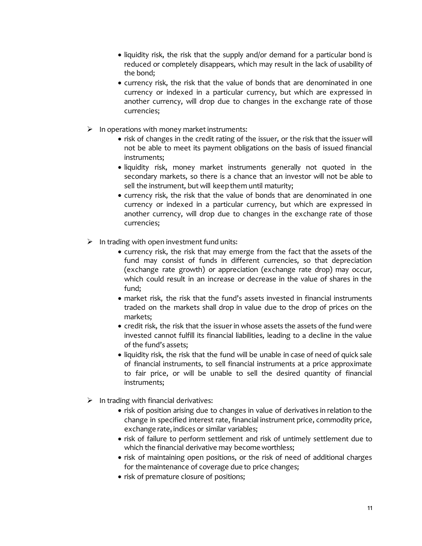- liquidity risk, the risk that the supply and/or demand for a particular bond is reduced or completely disappears, which may result in the lack of usability of the bond;
- currency risk, the risk that the value of bonds that are denominated in one currency or indexed in a particular currency, but which are expressed in another currency, will drop due to changes in the exchange rate of those currencies;
- $\triangleright$  In operations with money market instruments:
	- risk of changes in the credit rating of the issuer, or the risk that the issuer will not be able to meet its payment obligations on the basis of issued financial instruments;
	- liquidity risk, money market instruments generally not quoted in the secondary markets, so there is a chance that an investor will not be able to sell the instrument, but will keep them until maturity;
	- currency risk, the risk that the value of bonds that are denominated in one currency or indexed in a particular currency, but which are expressed in another currency, will drop due to changes in the exchange rate of those currencies;
- $\triangleright$  In trading with open investment fund units:
	- currency risk, the risk that may emerge from the fact that the assets of the fund may consist of funds in different currencies, so that depreciation (exchange rate growth) or appreciation (exchange rate drop) may occur, which could result in an increase or decrease in the value of shares in the fund;
	- market risk, the risk that the fund's assets invested in financial instruments traded on the markets shall drop in value due to the drop of prices on the markets;
	- credit risk, the risk that the issuer in whose assets the assets of the fund were invested cannot fulfill its financial liabilities, leading to a decline in the value of the fund's assets;
	- liquidity risk, the risk that the fund will be unable in case of need of quick sale of financial instruments, to sell financial instruments at a price approximate to fair price, or will be unable to sell the desired quantity of financial instruments;
- $\triangleright$  In trading with financial derivatives:
	- risk of position arising due to changes in value of derivatives in relation to the change in specified interest rate, financial instrument price, commodity price, exchange rate, indices or similar variables;
	- risk of failure to perform settlement and risk of untimely settlement due to which the financial derivative may become worthless;
	- risk of maintaining open positions, or the risk of need of additional charges for the maintenance of coverage due to price changes;
	- risk of premature closure of positions;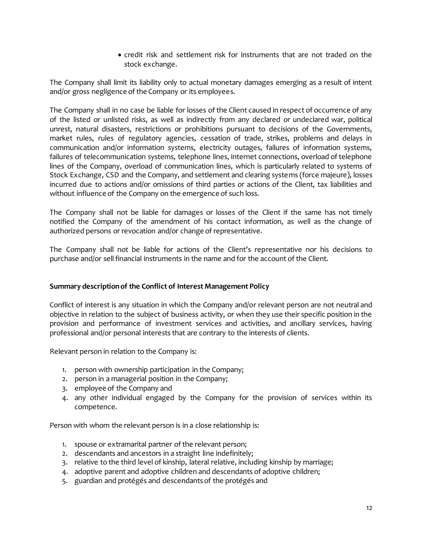• credit risk and settlement risk for instruments that are not traded on the stock exchange.

The Company shall limit its liability only to actual monetary damages emerging as a result of intent and/or gross negligence of the Company or its employees.

The Company shall in no case be liable for losses of the Client caused in respect of occurrence of any of the listed or unlisted risks, as well as indirectly from any declared or undeclared war, political unrest, natural disasters, restrictions or prohibitions pursuant to decisions of the Governments, market rules, rules of regulatory agencies, cessation of trade, strikes, problems and delays in communication and/or information systems, electricity outages, failures of information systems, failures of telecommunication systems, telephone lines, internet connections, overload of telephone lines of the Company, overload of communication lines, which is particularly related to systems of Stock Exchange, CSD and the Company, and settlement and clearing systems (force majeure), losses incurred due to actions and/or omissions of third parties or actions of the Client, tax liabilities and without influence of the Company on the emergence of such loss.

The Company shall not be liable for damages or losses of the Client if the same has not timely notified the Company of the amendment of his contact information, as well as the change of authorized persons or revocation and/or change of representative.

The Company shall not be liable for actions of the Client's representative nor his decisions to purchase and/or sell financial instruments in the name and for the account of the Client.

# **Summary description of the Conflict of Interest Management Policy**

Conflict of interest is any situation in which the Company and/or relevant person are not neutral and objective in relation to the subject of business activity, or when they use their specific position in the provision and performance of investment services and activities, and ancillary services, having professional and/or personal interests that are contrary to the interests of clients.

Relevant person in relation to the Company is:

- 1. person with ownership participation in the Company;
- 2. person in a managerial position in the Company;
- 3. employee of the Company and
- 4. any other individual engaged by the Company for the provision of services within its competence.

Person with whom the relevant person is in a close relationship is:

- 1. spouse or extramarital partner of the relevant person;
- 2. descendants and ancestors in a straight line indefinitely;
- 3. relative to the third level of kinship, lateral relative, including kinship by marriage;
- 4. adoptive parent and adoptive children and descendants of adoptive children;
- 5. guardian and protégés and descendants of the protégés and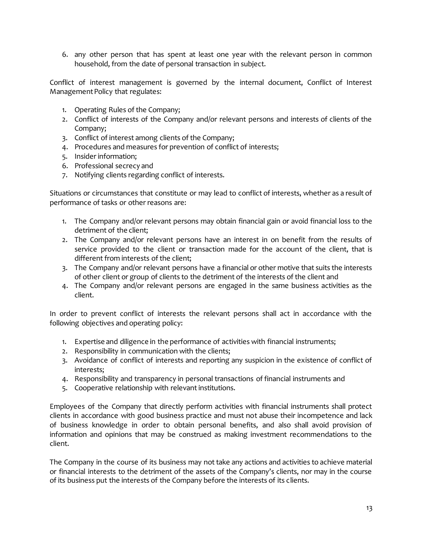6. any other person that has spent at least one year with the relevant person in common household, from the date of personal transaction in subject.

Conflict of interest management is governed by the internal document, Conflict of Interest Management Policy that regulates:

- 1. Operating Rules of the Company;
- 2. Conflict of interests of the Company and/or relevant persons and interests of clients of the Company;
- 3. Conflict of interest among clients of the Company;
- 4. Procedures and measures for prevention of conflict of interests;
- 5. Insider information;
- 6. Professional secrecy and
- 7. Notifying clients regarding conflict of interests.

Situations or circumstances that constitute or may lead to conflict of interests, whether as a result of performance of tasks or other reasons are:

- 1. The Company and/or relevant persons may obtain financial gain or avoid financial loss to the detriment of the client;
- 2. The Company and/or relevant persons have an interest in on benefit from the results of service provided to the client or transaction made for the account of the client, that is different from interests of the client;
- 3. The Company and/or relevant persons have a financial or other motive that suits the interests of other client or group of clients to the detriment of the interests of the client and
- 4. The Company and/or relevant persons are engaged in the same business activities as the client.

In order to prevent conflict of interests the relevant persons shall act in accordance with the following objectives and operating policy:

- 1. Expertise and diligence in the performance of activities with financial instruments;
- 2. Responsibility in communication with the clients;
- 3. Avoidance of conflict of interests and reporting any suspicion in the existence of conflict of interests;
- 4. Responsibility and transparency in personal transactions of financial instruments and
- 5. Cooperative relationship with relevant institutions.

Employees of the Company that directly perform activities with financial instruments shall protect clients in accordance with good business practice and must not abuse their incompetence and lack of business knowledge in order to obtain personal benefits, and also shall avoid provision of information and opinions that may be construed as making investment recommendations to the client.

The Company in the course of its business may not take any actions and activities to achieve material or financial interests to the detriment of the assets of the Company's clients, nor may in the course of its business put the interests of the Company before the interests of its clients.